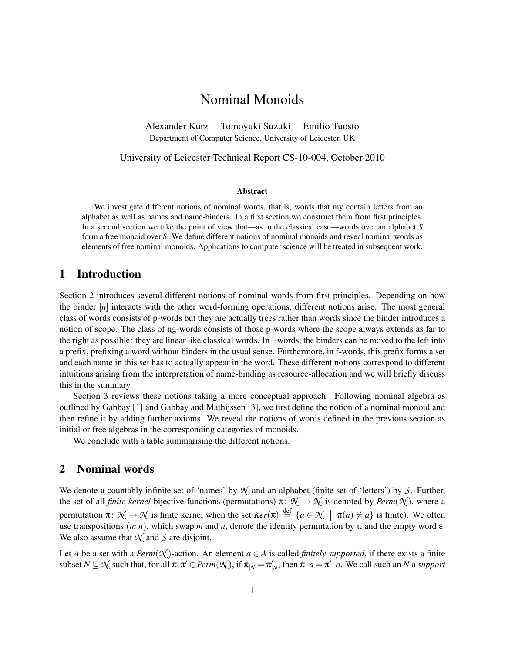# Nominal Monoids

Alexander Kurz Tomoyuki Suzuki Emilio Tuosto Department of Computer Science, University of Leicester, UK

University of Leicester Technical Report CS-10-004, October 2010

#### Abstract

We investigate different notions of nominal words, that is, words that my contain letters from an alphabet as well as names and name-binders. In a first section we construct them from first principles. In a second section we take the point of view that—as in the classical case—words over an alphabet *S* form a free monoid over *S*. We define different notions of nominal monoids and reveal nominal words as elements of free nominal monoids. Applications to computer science will be treated in subsequent work.

## 1 Introduction

Section 2 introduces several different notions of nominal words from first principles. Depending on how the binder [*n*] interacts with the other word-forming operations, different notions arise. The most general class of words consists of p-words but they are actually trees rather than words since the binder introduces a notion of scope. The class of ng-words consists of those p-words where the scope always extends as far to the right as possible: they are linear like classical words. In l-words, the binders can be moved to the left into a prefix, prefixing a word without binders in the usual sense. Furthermore, in f-words, this prefix forms a set and each name in this set has to actually appear in the word. These different notions correspond to different intuitions arising from the interpretation of name-binding as resource-allocation and we will briefly discuss this in the summary.

Section 3 reviews these notions taking a more conceptual approach. Following nominal algebra as outlined by Gabbay [1] and Gabbay and Mathijssen [3], we first define the notion of a nominal monoid and then refine it by adding further axioms. We reveal the notions of words defined in the previous section as initial or free algebras in the corresponding categories of monoids.

We conclude with a table summarising the different notions.

### 2 Nominal words

We denote a countably infinite set of 'names' by *N* and an alphabet (finite set of 'letters') by *S*. Further, the set of all *finite kernel* bijective functions (permutations)  $\pi$ :  $\mathcal{N} \to \mathcal{N}$  is denoted by *Perm*( $\mathcal{N}$ ), where a permutation  $\pi: \mathcal{N} \to \mathcal{N}$  is finite kernel when the set  $Ker(\pi) \stackrel{\text{def}}{=} \{a \in \mathcal{N} \mid \pi(a) \neq a\}$  is finite). We often use transpositions (*m n*), which swap *m* and *n*, denote the identity permutation by ι, and the empty word ε. We also assume that  $\mathcal{N}$  and  $\mathcal{S}$  are disjoint.

Let *A* be a set with a *Perm* $(\mathcal{N})$ -action. An element *a* ∈ *A* is called *finitely supported*, if there exists a finite subset  $N \subseteq \mathcal{N}$  such that, for all  $\pi, \pi' \in Perm(\mathcal{N})$ , if  $\pi_{|N} = \pi'_{|N}$ , then  $\pi \cdot a = \pi' \cdot a$ . We call such an  $N$  a *support*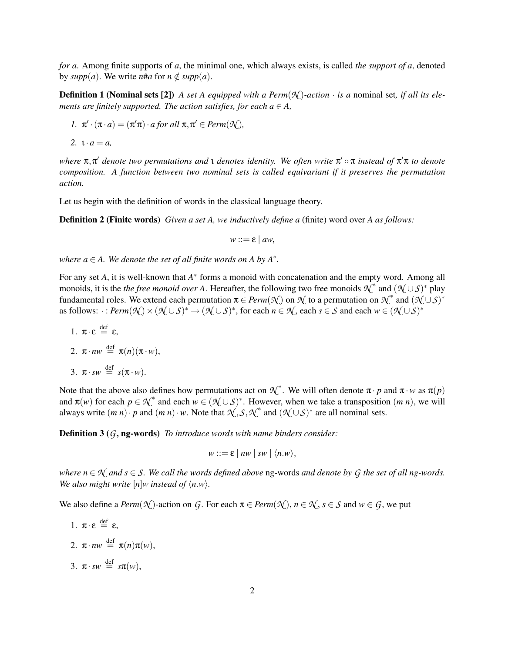*for a*. Among finite supports of *a*, the minimal one, which always exists, is called *the support of a*, denoted by  $supp(a)$ . We write *n*#*a* for  $n \notin supp(a)$ .

**Definition 1 (Nominal sets [2])** *A set A equipped with a Perm* $(\mathcal{N})$ *-action · is a* nominal set, *if all its elements are finitely supported. The action satisfies, for each*  $a \in A$ *,* 

$$
I. \ \pi' \cdot (\pi \cdot a) = (\pi' \pi) \cdot a \text{ for all } \pi, \pi' \in \text{Perm}(\mathcal{N}),
$$

$$
2. \ \mathbf{1} \cdot a = a,
$$

*where*  $\pi, \pi'$  *denote two permutations and ι denotes identity. We often write*  $\pi' \circ \pi$  *instead of*  $\pi' \pi$  *to denote composition. A function between two nominal sets is called equivariant if it preserves the permutation action.*

Let us begin with the definition of words in the classical language theory.

Definition 2 (Finite words) *Given a set A, we inductively define a* (finite) word over *A as follows:*

 $w ::= \varepsilon \mid aw$ ,

where  $a \in A$ . We denote the set of all finite words on A by  $A^*$ .

For any set *A*, it is well-known that *A*<sup>\*</sup> forms a monoid with concatenation and the empty word. Among all monoids, it is the *the free monoid over A*. Hereafter, the following two free monoids  $\chi^*$  and  $(\chi \cup S)^*$  play fundamental roles. We extend each permutation  $\pi \in Perm(\mathcal{N})$  on  $\mathcal{N}$  to a permutation on  $\mathcal{N}^*$  and  $(\mathcal{N} \cup \mathcal{S})^*$ as follows:  $\cdot : \textit{Perm}(\mathcal{N}) \times (\mathcal{N} \cup \mathcal{S})^* \rightarrow (\mathcal{N} \cup \mathcal{S})^*$ , for each  $n \in \mathcal{N}$ , each  $s \in \mathcal{S}$  and each  $w \in (\mathcal{N} \cup \mathcal{S})^*$ 

1.  $\pi \cdot \varepsilon \stackrel{\text{def}}{=} \varepsilon$ ,

2. 
$$
\pi \cdot nw \stackrel{\text{def}}{=} \pi(n)(\pi \cdot w),
$$

3.  $\pi \cdot sw \stackrel{\text{def}}{=} s(\pi \cdot w)$ .

Note that the above also defines how permutations act on  $\mathcal{N}^*$ . We will often denote  $\pi \cdot p$  and  $\pi \cdot w$  as  $\pi(p)$ and  $\pi(w)$  for each  $p \in \mathcal{N}^*$  and each  $w \in (\mathcal{N} \cup \mathcal{S})^*$ . However, when we take a transposition  $(m n)$ , we will always write  $(m n) \cdot p$  and  $(m n) \cdot w$ . Note that  $\mathcal{N}, \mathcal{S}, \mathcal{N}^*$  and  $(\mathcal{N} \cup \mathcal{S})^*$  are all nominal sets.

Definition 3 (*G*, ng-words) *To introduce words with name binders consider:*

$$
w ::= \varepsilon \mid nw \mid sw \mid \langle n.w \rangle,
$$

*where*  $n \in \mathcal{N}$  *and*  $s \in \mathcal{S}$ *. We call the words defined above* ng-words *and denote by G the set of all ng-words. We also might write*  $[n]$ *w instead of*  $\langle n.w \rangle$ *.* 

We also define a *Perm* $(\mathcal{N})$ -action on *G*. For each  $\pi \in \text{Perm}(\mathcal{N})$ ,  $n \in \mathcal{N}$ ,  $s \in \mathcal{S}$  and  $w \in G$ , we put

- 1.  $\pi \cdot \varepsilon \stackrel{\text{def}}{=} \varepsilon$ ,
- 2.  $\pi \cdot n w \stackrel{\text{def}}{=} \pi(n)\pi(w),$
- 3.  $\pi \cdot sw \stackrel{\text{def}}{=} sx(w),$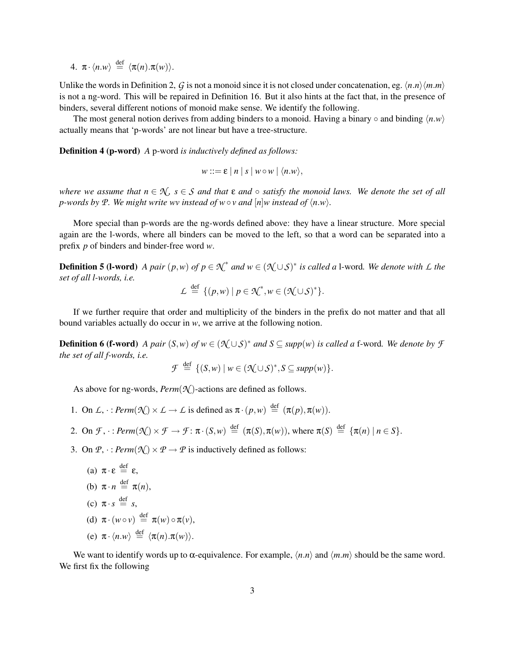4.  $\pi \cdot \langle n.w \rangle \stackrel{\text{def}}{=} \langle \pi(n) . \pi(w) \rangle.$ 

Unlike the words in Definition 2, G is not a monoid since it is not closed under concatenation, eg.  $\langle n.n \rangle \langle m.m \rangle$ is not a ng-word. This will be repaired in Definition 16. But it also hints at the fact that, in the presence of binders, several different notions of monoid make sense. We identify the following.

The most general notion derives from adding binders to a monoid. Having a binary  $\circ$  and binding  $\langle n.w \rangle$ actually means that 'p-words' are not linear but have a tree-structure.

Definition 4 (p-word) *A* p-word *is inductively defined as follows:*

 $w ::= \varepsilon |n| s | w \circ w | \langle n.w \rangle,$ 

*where we assume that*  $n \in \mathcal{N}$ ,  $s \in \mathcal{S}$  *and that*  $\varepsilon$  *and*  $\circ$  *satisfy the monoid laws. We denote the set of all p*-words by P. We might write wv instead of  $w \circ v$  and  $[n]w$  instead of  $\langle n.w \rangle$ .

More special than p-words are the ng-words defined above: they have a linear structure. More special again are the l-words, where all binders can be moved to the left, so that a word can be separated into a prefix *p* of binders and binder-free word *w*.

**Definition 5 (I-word)** A pair  $(p, w)$  of  $p \in \mathcal{K}^*$  and  $w \in (\mathcal{K} \cup \mathcal{S})^*$  is called a I-word. We denote with L the *set of all l-words, i.e.*

$$
\mathcal{L} \stackrel{\text{def}}{=} \{ (p, w) \mid p \in \mathcal{K}^*, w \in (\mathcal{K} \cup \mathcal{S})^* \}.
$$

If we further require that order and multiplicity of the binders in the prefix do not matter and that all bound variables actually do occur in *w*, we arrive at the following notion.

**Definition 6 (f-word)** *A pair*  $(S, w)$  *of*  $w ∈ (\mathcal{K} ∪ S)^*$  *and*  $S ⊆ supp(w)$  *is called a* f-word. We denote by  $\mathcal{F}$ *the set of all f-words, i.e.*

$$
\mathcal{F} \stackrel{\text{def}}{=} \{ (S, w) \mid w \in (\mathcal{K} \cup \mathcal{S})^*, S \subseteq \text{supp}(w) \}.
$$

As above for ng-words, *Perm*(*N* )-actions are defined as follows.

- 1. On  $\mathcal{L}, \cdot : \text{Perm}(\mathcal{N}) \times \mathcal{L} \rightarrow \mathcal{L}$  is defined as  $\pi \cdot (p, w) \stackrel{\text{def}}{=} (\pi(p), \pi(w)).$
- 2. On  $\mathcal{F}, \cdot : \text{Perm}(\mathcal{N}) \times \mathcal{F} \to \mathcal{F}: \pi \cdot (S, w) \stackrel{\text{def}}{=} (\pi(S), \pi(w)), \text{ where } \pi(S) \stackrel{\text{def}}{=} {\pi(n) | n \in S}.$
- 3. On  $\mathcal{P}, \cdot : \text{Perm}(\mathcal{N}) \times \mathcal{P} \rightarrow \mathcal{P}$  is inductively defined as follows:

(a) 
$$
\pi \cdot \varepsilon \stackrel{\text{def}}{=} \varepsilon
$$
,  
\n(b)  $\pi \cdot n \stackrel{\text{def}}{=} \pi(n)$ ,  
\n(c)  $\pi \cdot s \stackrel{\text{def}}{=} s$ ,

- (d)  $\pi \cdot (w \circ v) \stackrel{\text{def}}{=} \pi(w) \circ \pi(v)$ ,
- (e)  $\pi \cdot \langle n.w \rangle \stackrel{\text{def}}{=} \langle \pi(n) . \pi(w) \rangle.$

We want to identify words up to  $\alpha$ -equivalence. For example,  $\langle n.n \rangle$  and  $\langle m.m \rangle$  should be the same word. We first fix the following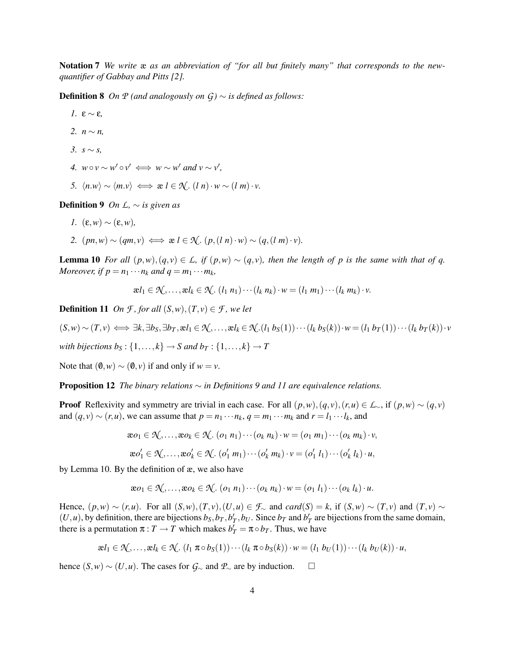Notation 7 *We write* æ *as an abbreviation of "for all but finitely many" that corresponds to the newquantifier of Gabbay and Pitts [2].*

**Definition 8** *On*  $P$  *(and analogously on*  $G$ *)* ∼ *is defined as follows:* 

*1.* ε ∼ ε, *2.*  $n \sim n$ . *3. s* ∼ *s, 4.*  $w \circ v \sim w' \circ v' \iff w \sim w'$  and  $v \sim v'$ , *5.*  $\langle n.w \rangle \sim \langle m.v \rangle \iff$  *æ*  $l \in \mathcal{N}$ .  $(l n) \cdot w \sim (l m) \cdot v$ .

**Definition 9** *On L*,  $\sim$  *is given as* 

- *1.* (ε,*w*) ∼ (ε,*w*),
- 2.  $(pn,w) \sim (qm,v) \iff x \in \mathcal{N}$ .  $(p,(ln) \cdot w) \sim (q,(lm) \cdot v)$ .

**Lemma 10** For all  $(p, w), (q, v) \in L$ *, if*  $(p, w) \sim (q, v)$ *, then the length of p is the same with that of q. Moreover, if*  $p = n_1 \cdots n_k$  *and*  $q = m_1 \cdots m_k$ *,* 

 $\mathbf{R}^{l_1} \in \mathcal{N}, \ldots, \mathbf{R}^{l_k} \in \mathcal{N}.$   $(l_1 \ n_1) \cdots (l_k \ n_k) \cdot w = (l_1 \ m_1) \cdots (l_k \ m_k) \cdot v.$ 

**Definition 11** *On F*, *for all*  $(S, w)$ ,  $(T, v) \in \mathcal{F}$ *, we let* 

$$
(S,w) \sim (T,v) \iff \exists k, \exists b_S, \exists b_T, \mathbf{a} l_1 \in \mathcal{K}, \dots, \mathbf{a} l_k \in \mathcal{K}.(l_1 b_S(1)) \cdots (l_k b_S(k)) \cdot w = (l_1 b_T(1)) \cdots (l_k b_T(k)) \cdot v
$$

*with bijections*  $b_S$ :  $\{1, ..., k\}$   $\rightarrow$  *S and*  $b_T$ :  $\{1, ..., k\}$   $\rightarrow$  *T* 

Note that  $(0, w) \sim (0, v)$  if and only if  $w = v$ .

Proposition 12 *The binary relations* ∼ *in Definitions 9 and 11 are equivalence relations.*

**Proof** Reflexivity and symmetry are trivial in each case. For all  $(p, w), (q, v), (r, u) \in L_\sim$ , if  $(p, w) \sim (q, v)$ and  $(q, v) \sim (r, u)$ , we can assume that  $p = n_1 \cdots n_k$ ,  $q = m_1 \cdots m_k$  and  $r = l_1 \cdots l_k$ , and

$$
\mathbf{a} \circ_1 \in \mathcal{N}, \dots, \mathbf{a} \circ_k \in \mathcal{N}. \quad (o_1 \; n_1) \cdots (o_k \; n_k) \cdot w = (o_1 \; m_1) \cdots (o_k \; m_k) \cdot v,
$$

$$
\mathbf{a} \circ'_1 \in \mathcal{N}, \dots, \mathbf{a} \circ'_k \in \mathcal{N}. \quad (o'_1 \; m_1) \cdots (o'_k \; m_k) \cdot v = (o'_1 \; l_1) \cdots (o'_k \; l_k) \cdot u,
$$

by Lemma 10. By the definition of æ, we also have

$$
\boldsymbol{x}o_1 \in \mathcal{N}, \ldots, \boldsymbol{x}o_k \in \mathcal{N}. (o_1 \ n_1) \cdots (o_k \ n_k) \cdot \boldsymbol{w} = (o_1 \ l_1) \cdots (o_k \ l_k) \cdot \boldsymbol{u}.
$$

Hence,  $(p, w) \sim (r, u)$ . For all  $(S, w), (T, v), (U, u) \in \mathcal{F}_{\sim}$  and  $card(S) = k$ , if  $(S, w) \sim (T, v)$  and  $(T, v) \sim$  $(U, u)$ , by definition, there are bijections  $b_S, b_T, b_T', b_U$ . Since  $b_T$  and  $b_T'$  are bijections from the same domain, there is a permutation  $\pi : T \to T$  which makes  $b'_T = \pi \circ b_T$ . Thus, we have

$$
\mathbf{z}l_1 \in \mathcal{N}, \ldots, \mathbf{z}l_k \in \mathcal{N}. (l_1 \pi \circ b_S(1)) \cdots (l_k \pi \circ b_S(k)) \cdot w = (l_1 \ b_U(1)) \cdots (l_k \ b_U(k)) \cdot u,
$$

hence  $(S, w) \sim (U, u)$ . The cases for  $G_{\sim}$  and  $\mathcal{P}_{\sim}$  are by induction.  $\Box$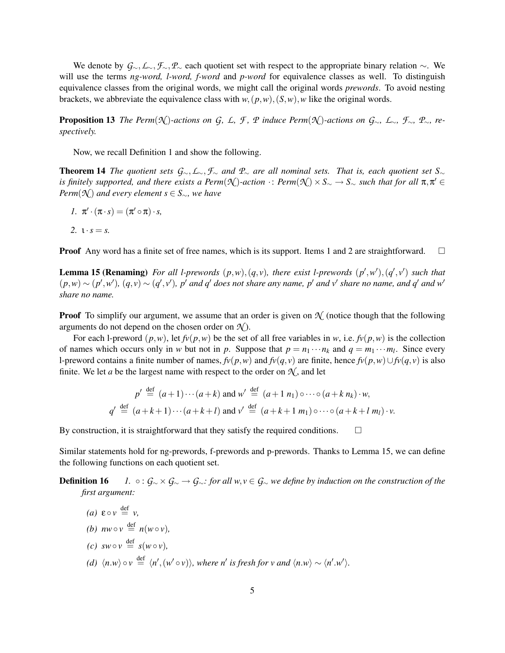We denote by *G*∼,*L*∼,*F*∼,*P*<sup>∼</sup> each quotient set with respect to the appropriate binary relation ∼. We will use the terms *ng-word, l-word, f-word* and *p-word* for equivalence classes as well. To distinguish equivalence classes from the original words, we might call the original words *prewords*. To avoid nesting brackets, we abbreviate the equivalence class with  $w$ ,  $(p, w)$ ,  $(S, w)$ , *w* like the original words.

**Proposition 13** The Perm( $\mathcal{N}$ )-actions on G, L, F, P induce Perm( $\mathcal{N}$ )-actions on G<sub> $\sim$ </sub>, L<sub> $\sim$ </sub>, F<sub> $\sim$ </sub>, P<sub> $\sim$ </sub>, re*spectively.*

Now, we recall Definition 1 and show the following.

Theorem 14 *The quotient sets G*∼,*L*∼,*F*<sup>∼</sup> *and P*<sup>∼</sup> *are all nominal sets. That is, each quotient set S*<sup>∼</sup>  $\alpha$  *is finitely supported, and there exists a Perm*( $\mathcal{N}$ )*-action*  $\cdot$ : *Perm*( $\mathcal{N}$ ) ×  $S_\sim \to S_\sim$  such that for all  $\pi, \pi' \in$ *Perm*( $\mathcal{N}$ ) *and every element*  $s \in S_{\sim}$ *, we have* 

*1*.  $\pi' \cdot (\pi \cdot s) = (\pi' \circ \pi) \cdot s$ ,

 $\overline{d} \circ f$ 

2.  $i \cdot s = s$ .

**Proof** Any word has a finite set of free names, which is its support. Items 1 and 2 are straightforward.  $\Box$ 

**Lemma 15 (Renaming)** For all l-prewords  $(p, w), (q, v)$ , there exist l-prewords  $(p', w'), (q', v')$  such that  $(p,w) \sim (p',w')$ ,  $(q,v) \sim (q',v')$ , p' and q' does not share any name, p' and v' share no name, and q' and w' *share no name.*

**Proof** To simplify our argument, we assume that an order is given on  $\mathcal{N}$  (notice though that the following arguments do not depend on the chosen order on  $\mathcal{N}$ ).

For each l-preword  $(p, w)$ , let  $f\nu(p, w)$  be the set of all free variables in *w*, i.e.  $f\nu(p, w)$  is the collection of names which occurs only in *w* but not in *p*. Suppose that  $p = n_1 \cdots n_k$  and  $q = m_1 \cdots m_l$ . Since every l-preword contains a finite number of names,  $f_v(p,w)$  and  $f_v(q,v)$  are finite, hence  $f_v(p,w) \cup f_v(q,v)$  is also finite. We let *a* be the largest name with respect to the order on  $\mathcal{N}$ , and let

$$
p' \stackrel{\text{def}}{=} (a+1)\cdots(a+k) \text{ and } w' \stackrel{\text{def}}{=} (a+1 \ n_1) \circ \cdots \circ (a+k \ n_k) \cdot w,
$$
  

$$
q' \stackrel{\text{def}}{=} (a+k+1)\cdots(a+k+l) \text{ and } v' \stackrel{\text{def}}{=} (a+k+1 \ m_1) \circ \cdots \circ (a+k+l \ m_l) \cdot v.
$$

By construction, it is straightforward that they satisfy the required conditions.  $\Box$ 

Similar statements hold for ng-prewords, f-prewords and p-prewords. Thanks to Lemma 15, we can define the following functions on each quotient set.

**Definition 16** *1.* ◦ :  $G_∼ \times G_∼ \rightarrow G_್$ *: for all w, v* ∈  $G_∼$  *we define by induction on the construction of the first argument:*

\n- (a) 
$$
\varepsilon \circ v \stackrel{\text{def}}{=} v
$$
,
\n- (b)  $nw \circ v \stackrel{\text{def}}{=} n(w \circ v)$ ,
\n- (c)  $sw \circ v \stackrel{\text{def}}{=} s(w \circ v)$ ,
\n- (d)  $\langle n.w \rangle \circ v \stackrel{\text{def}}{=} \langle n', (w' \circ v) \rangle$ , where n' is fresh for v and  $\langle n.w \rangle \sim \langle n'.w' \rangle$ .
\n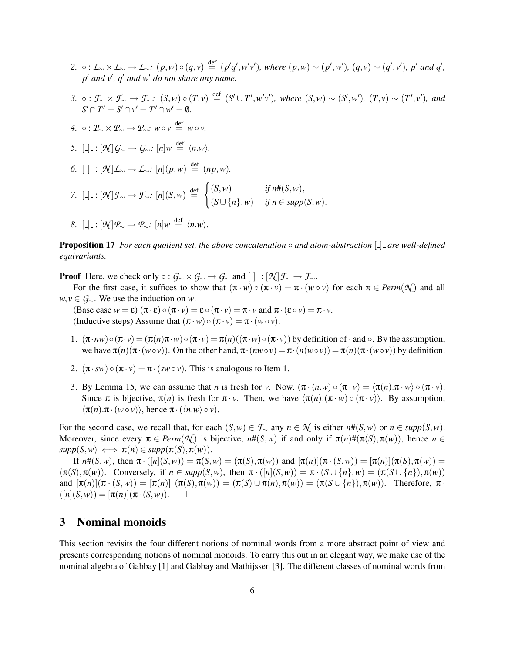- 2.  $\circ: L_{\sim} \times L_{\sim} \to L_{\sim}: (p, w) \circ (q, v) \stackrel{\text{def}}{=} (p'q', w'v'),$  where  $(p, w) \sim (p', w'), (q, v) \sim (q', v'), p'$  and  $q',$ *p* <sup>0</sup> *and v*<sup>0</sup> *, q*<sup>0</sup> *and w*<sup>0</sup> *do not share any name.*
- 3.  $\circ : \mathcal{F}_{\sim} \times \mathcal{F}_{\sim} \to \mathcal{F}_{\sim}: (S,w) \circ (T,v) \stackrel{\text{def}}{=} (S' \cup T', w'v'),$  where  $(S,w) \sim (S',w'), (T,v) \sim (T',v'),$  and  $S' \cap T' = S' \cap v' = T' \cap w' = \emptyset.$
- *4.* :  $P_{\sim} \times P_{\sim} \rightarrow P_{\sim}$ : *w v* ≡ *w v*.
- *5.*  $\left[\frac{1}{2}\right] = \frac{1}{2} \left[\frac{1}{2} \mathcal{L} \right] \mathcal{G}_{\sim} \rightarrow \mathcal{G}_{\sim}$ :  $[n]w \stackrel{\text{def}}{=} \langle n.w \rangle$ .
- *6.*  $[$ ...]  $\pm$  :  $[$ *N* $]$ *L*<sub>∼</sub>  $\rightarrow$  *L*<sub>∼</sub>*:*  $[n](p, w) \stackrel{\text{def}}{=} (np, w)$ *.*
- *7.*  $\left[\frac{1}{2}\right]$  :  $\left[\mathcal{N}\right]\mathcal{F}_{\sim} \rightarrow \mathcal{F}_{\sim}$  :  $\left[n\right](S,w) \stackrel{\text{def}}{=} \begin{cases} (S,w) & \text{if } n\#(S,w), \\ (S,w) & \text{if } S \neq S \end{cases}$  $(S \cup \{n\}, w)$  *if*  $n \in \text{supp}(S, w)$ .
- *8.*  $\left[\frac{1}{n}\right] = \frac{1}{n} \left[\frac{1}{n}\right] \mathcal{P}_{\sim} \to \mathcal{P}_{\sim}$ :  $\left[n\right] w \stackrel{\text{def}}{=} \left\langle n.w \right\rangle$ .

Proposition 17 *For each quotient set, the above concatenation* ◦ *and atom-abstraction* [ ] *are well-defined equivariants.*

**Proof** Here, we check only  $\circ$  :  $\mathcal{G}_{\sim} \times \mathcal{G}_{\sim} \to \mathcal{G}_{\sim}$  and  $\left[\frac{1}{2}\right] : [\mathcal{N}]\mathcal{F}_{\sim} \to \mathcal{F}_{\sim}$ .

For the first case, it suffices to show that  $(\pi \cdot w) \circ (\pi \cdot v) = \pi \cdot (w \circ v)$  for each  $\pi \in \text{Perm}(\mathcal{N})$  and all *w*, *v* ∈ *G*∼. We use the induction on *w*.

(Base case  $w = \varepsilon$ )  $(\pi \cdot \varepsilon) \circ (\pi \cdot v) = \varepsilon \circ (\pi \cdot v) = \pi \cdot v$  and  $\pi \cdot (\varepsilon \circ v) = \pi \cdot v$ . (Inductive steps) Assume that  $(\pi \cdot w) \circ (\pi \cdot v) = \pi \cdot (w \circ v)$ .

- 1.  $(\pi \cdot n w) \circ (\pi \cdot v) = (\pi(n)\pi \cdot w) \circ (\pi \cdot v) = \pi(n)((\pi \cdot w) \circ (\pi \cdot v))$  by definition of  $\cdot$  and  $\circ$ . By the assumption, we have  $\pi(n)(\pi \cdot (w \circ \nu))$ . On the other hand,  $\pi \cdot (nw \circ \nu) = \pi \cdot (n(w \circ \nu)) = \pi(n)(\pi \cdot (w \circ \nu))$  by definition.
- 2.  $(\pi \cdot sw) \circ (\pi \cdot v) = \pi \cdot (sw \circ v)$ . This is analogous to Item 1.
- 3. By Lemma 15, we can assume that *n* is fresh for *v*. Now,  $(\pi \cdot \langle n.w \rangle \circ (\pi \cdot v) = \langle \pi(n) . \pi \cdot w \rangle \circ (\pi \cdot v)$ . Since  $\pi$  is bijective,  $\pi(n)$  is fresh for  $\pi \cdot v$ . Then, we have  $\langle \pi(n) \cdot (\pi \cdot v) \cdot \pi \cdot v \rangle$ . By assumption,  $\langle \pi(n) . \pi \cdot (w \circ v) \rangle$ , hence  $\pi \cdot (\langle n.w \rangle \circ v)$ .

For the second case, we recall that, for each  $(S, w) \in \mathcal{F}_\sim$  any  $n \in \mathcal{N}$  is either  $n \#(S, w)$  or  $n \in \text{supp}(S, w)$ . Moreover, since every  $\pi \in \text{Perm}(\mathcal{N})$  is bijective,  $n\#(S,w)$  if and only if  $\pi(n)\#(\pi(S),\pi(w))$ , hence  $n \in$  $supp(S, w) \iff \pi(n) \in supp(\pi(S), \pi(w)).$ 

If  $n\#(S, w)$ , then  $\pi \cdot ([n](S, w)) = \pi(S, w) = (\pi(S), \pi(w))$  and  $[\pi(n)](\pi \cdot (S, w)) = [\pi(n)](\pi(S), \pi(w)) =$  $(\pi(S), \pi(w))$ . Conversely, if  $n \in \text{supp}(S, w)$ , then  $\pi \cdot ([n](S, w)) = \pi \cdot (S \cup \{n\}, w) = (\pi(S \cup \{n\}), \pi(w))$ and  $[\pi(n)](\pi \cdot (S,w)) = [\pi(n)] (\pi(S), \pi(w)) = (\pi(S) \cup \pi(n), \pi(w)) = (\pi(S \cup \{n\}), \pi(w))$ . Therefore,  $\pi \cdot$  $([n](S,w)) = [\pi(n)](\pi \cdot (S,w)).$ 

# 3 Nominal monoids

This section revisits the four different notions of nominal words from a more abstract point of view and presents corresponding notions of nominal monoids. To carry this out in an elegant way, we make use of the nominal algebra of Gabbay [1] and Gabbay and Mathijssen [3]. The different classes of nominal words from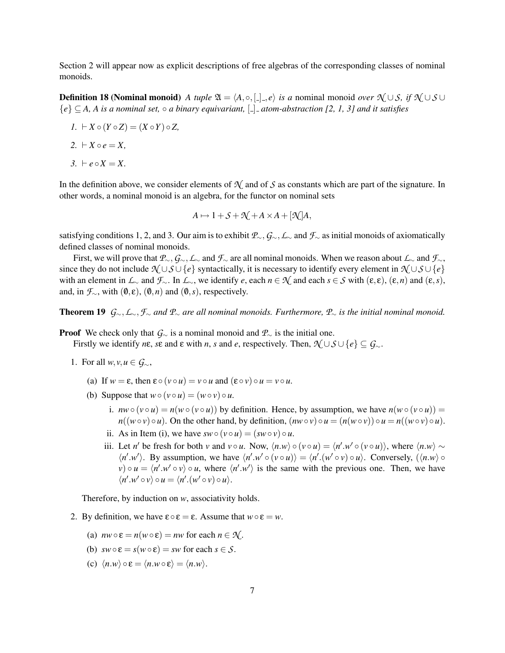Section 2 will appear now as explicit descriptions of free algebras of the corresponding classes of nominal monoids.

**Definition 18 (Nominal monoid)** *A tuple*  $\mathfrak{A} = \langle A, \circ, [-], e \rangle$  *is a* nominal monoid *over*  $\mathfrak{N} \cup S$ *, if*  $\mathfrak{N} \cup S \cup S$ {*e*} ⊆ *A, A is a nominal set,* ◦ *a binary equivariant,* [ ] *atom-abstraction [2, 1, 3] and it satisfies*

- $I. \vdash X \circ (Y \circ Z) = (X \circ Y) \circ Z,$
- $2. \ \ \vdash X \circ e = X,$
- $3. \vdash e \circ X = X$ .

In the definition above, we consider elements of  $\mathcal{N}$  and of *S* as constants which are part of the signature. In other words, a nominal monoid is an algebra, for the functor on nominal sets

$$
A \mapsto 1 + S + \mathcal{N} + A \times A + [\mathcal{N}]A,
$$

satisfying conditions 1, 2, and 3. Our aim is to exhibit *P*∼,*G*∼,*L*<sup>∼</sup> and *F*<sup>∼</sup> as initial monoids of axiomatically defined classes of nominal monoids.

First, we will prove that *P*∼,*G*∼,*L*<sup>∼</sup> and *F*<sup>∼</sup> are all nominal monoids. When we reason about *L*<sup>∼</sup> and *F*∼, since they do not include  $\mathcal{N} \cup \mathcal{S} \cup \{e\}$  syntactically, it is necessary to identify every element in  $\mathcal{N} \cup \mathcal{S} \cup \{e\}$ with an element in  $\mathcal{L}_\sim$  and  $\mathcal{F}_\sim$ . In  $\mathcal{L}_\sim$ , we identify *e*, each *n* ∈  $\mathcal{N}$  and each *s* ∈  $\mathcal{S}$  with (ε, ε), (ε, *n*) and (ε, *s*), and, in  $\mathcal{F}_{\sim}$ , with  $(\mathbf{0}, \mathbf{\varepsilon})$ ,  $(\mathbf{0}, n)$  and  $(\mathbf{0}, s)$ , respectively.

Theorem 19 *G*∼,*L*∼,*F*<sup>∼</sup> *and P*<sup>∼</sup> *are all nominal monoids. Furthermore, P*<sup>∼</sup> *is the initial nominal monoid.*

**Proof** We check only that  $G_{\sim}$  is a nominal monoid and  $\mathcal{P}_{\sim}$  is the initial one.

Firstly we identify  $n\epsilon$ ,  $s\epsilon$  and  $\epsilon$  with  $n$ ,  $s$  and  $e$ , respectively. Then,  $\mathcal{N} \cup \mathcal{S} \cup \{e\} \subseteq \mathcal{G}_{\sim}$ .

- 1. For all  $w, v, u \in \mathcal{G}_{\sim}$ ,
	- (a) If  $w = \varepsilon$ , then  $\varepsilon \circ (v \circ u) = v \circ u$  and  $(\varepsilon \circ v) \circ u = v \circ u$ .
	- (b) Suppose that  $w \circ (v \circ u) = (w \circ v) \circ u$ .
		- i.  $nw \circ (v \circ u) = n(w \circ (v \circ u))$  by definition. Hence, by assumption, we have  $n(w \circ (v \circ u)) =$  $n((w \circ v) \circ u)$ . On the other hand, by definition,  $(nw \circ v) \circ u = (n(w \circ v)) \circ u = n((w \circ v) \circ u)$ .
		- ii. As in Item (i), we have  $sw \circ (v \circ u) = (sw \circ v) \circ u$ .
		- iii. Let *n'* be fresh for both *v* and  $v \circ u$ . Now,  $\langle n.w \rangle \circ (v \circ u) = \langle n'.w' \circ (v \circ u) \rangle$ , where  $\langle n.w \rangle \sim$  $\langle n'.w' \rangle$ . By assumption, we have  $\langle n'.w' \circ (v \circ u) \rangle = \langle n'.(w' \circ v) \circ u \rangle$ . Conversely,  $(\langle n.w \rangle \circ u)$  $v \circ u = \langle n'.w' \circ v \rangle \circ u$ , where  $\langle n'.w' \rangle$  is the same with the previous one. Then, we have  $\langle n'.w' \circ v \rangle \circ u = \langle n'.(w' \circ v) \circ u \rangle.$

Therefore, by induction on *w*, associativity holds.

- 2. By definition, we have  $\varepsilon \circ \varepsilon = \varepsilon$ . Assume that  $w \circ \varepsilon = w$ .
	- (a)  $nw \circ \varepsilon = n(w \circ \varepsilon) = nw$  for each  $n \in \mathcal{N}$ .
	- (b)  $sw \circ \varepsilon = s(w \circ \varepsilon) = sw$  for each  $s \in S$ .
	- (c)  $\langle n.w \rangle \circ \varepsilon = \langle n.w \circ \varepsilon \rangle = \langle n.w \rangle$ .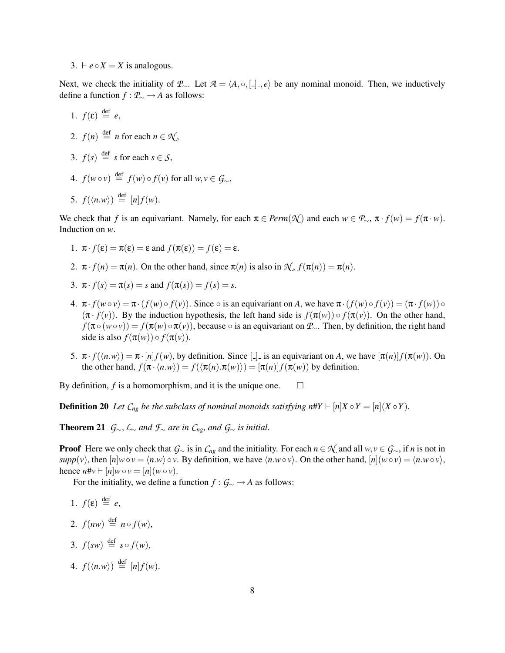3.  $\vdash e \circ X = X$  is analogous.

Next, we check the initiality of *P*∼. Let  $A = \langle A, \circ, [$ ],  $e \rangle$  be any nominal monoid. Then, we inductively define a function *f* : *P*<sup>∼</sup> → *A* as follows:

1.  $f(\varepsilon) \stackrel{\text{def}}{=} e$ , 2.  $f(n) \stackrel{\text{def}}{=} n$  for each  $n \in \mathcal{N}$ , 3.  $f(s) \stackrel{\text{def}}{=} s \text{ for each } s \in S$ , 4.  $f(w \circ v) \stackrel{\text{def}}{=} f(w) \circ f(v)$  for all  $w, v \in \mathcal{G}_{\sim}$ , 5.  $f(\langle n.w \rangle) \stackrel{\text{def}}{=} [n] f(w)$ .

We check that *f* is an equivariant. Namely, for each  $\pi \in \text{Perm}(\mathcal{N})$  and each  $w \in \mathcal{P}_{\sim}$ ,  $\pi \cdot f(w) = f(\pi \cdot w)$ . Induction on *w*.

- 1.  $\pi \cdot f(\varepsilon) = \pi(\varepsilon) = \varepsilon$  and  $f(\pi(\varepsilon)) = f(\varepsilon) = \varepsilon$ .
- 2.  $\pi \cdot f(n) = \pi(n)$ . On the other hand, since  $\pi(n)$  is also in  $\mathcal{N}, f(\pi(n)) = \pi(n)$ .
- 3.  $\pi \cdot f(s) = \pi(s) = s$  and  $f(\pi(s)) = f(s) = s$ .
- 4.  $\pi \cdot f(w \circ v) = \pi \cdot (f(w) \circ f(v))$ . Since  $\circ$  is an equivariant on *A*, we have  $\pi \cdot (f(w) \circ f(v)) = (\pi \cdot f(w)) \circ f(v)$  $(\pi \cdot f(v))$ . By the induction hypothesis, the left hand side is  $f(\pi(v)) \circ f(\pi(v))$ . On the other hand,  $f(\pi \circ (w \circ v)) = f(\pi(w) \circ \pi(v))$ , because  $\circ$  is an equivariant on  $\mathcal{P}_{\sim}$ . Then, by definition, the right hand side is also  $f(\pi(w)) \circ f(\pi(v))$ .
- 5.  $\pi \cdot f(\langle n.w \rangle) = \pi \cdot [n] f(w)$ , by definition. Since [-] is an equivariant on *A*, we have  $[\pi(n)] f(\pi(w))$ . On the other hand,  $f(\pi \cdot \langle n.w \rangle) = f(\langle \pi(n) . \pi(w) \rangle) = [\pi(n)] f(\pi(w))$  by definition.

By definition,  $f$  is a homomorphism, and it is the unique one.  $\Box$ 

**Definition 20** Let  $C_{ng}$  be the subclass of nominal monoids satisfying  $n\#Y \vdash [n]X \circ Y = [n](X \circ Y)$ .

**Theorem 21**  $\mathcal{G}_{\sim}$ ,  $\mathcal{L}_{\sim}$  *and*  $\mathcal{F}_{\sim}$  *are in*  $\mathcal{C}_{ng}$ *, and*  $\mathcal{G}_{\sim}$  *is initial.* 

**Proof** Here we only check that  $G_\sim$  is in  $C_{ng}$  and the initiality. For each  $n \in \mathcal{N}$  and all  $w, v \in G_\sim$ , if *n* is not in *supp*(*v*), then  $[n]w \circ v = \langle n.w \rangle \circ v$ . By definition, we have  $\langle n.w \circ v \rangle$ . On the other hand,  $[n](w \circ v) = \langle n.w \circ v \rangle$ , hence  $n\#v \vdash [n]w \circ v = [n](w \circ v)$ .

For the initiality, we define a function *f* : *G*<sup>∼</sup> → *A* as follows:

- 1.  $f(\varepsilon) \stackrel{\text{def}}{=} e$ ,
- 2.  $f(nw) \stackrel{\text{def}}{=} n \circ f(w)$ ,
- 3.  $f(sw) \stackrel{\text{def}}{=} s \circ f(w)$ ,
- 4.  $f(\langle n.w \rangle) \stackrel{\text{def}}{=} [n] f(w).$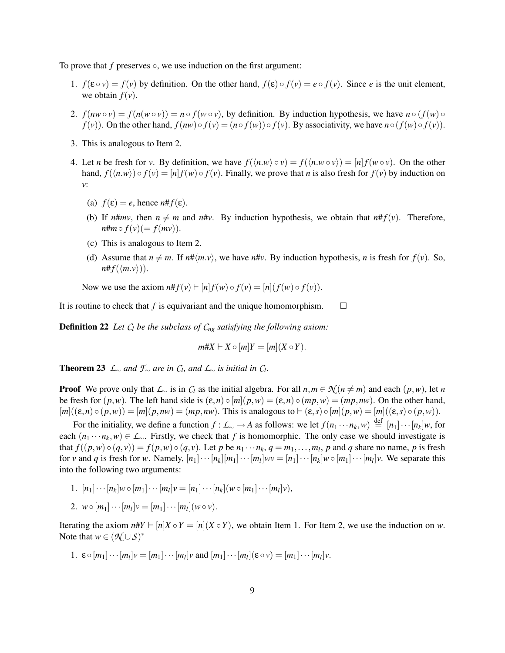To prove that *f* preserves ○, we use induction on the first argument:

- 1.  $f(\varepsilon \circ v) = f(v)$  by definition. On the other hand,  $f(\varepsilon) \circ f(v) = e \circ f(v)$ . Since *e* is the unit element, we obtain  $f(v)$ .
- 2.  $f(nw \circ v) = f(n(w \circ v)) = n \circ f(w \circ v)$ , by definition. By induction hypothesis, we have  $n \circ (f(w) \circ v)$  $f(v)$ ). On the other hand,  $f(nw) \circ f(v) = (n \circ f(w)) \circ f(v)$ . By associativity, we have  $n \circ (f(w) \circ f(v))$ .
- 3. This is analogous to Item 2.
- 4. Let *n* be fresh for *v*. By definition, we have  $f(\langle n.w \rangle \circ v) = f(\langle n.w \circ v \rangle) = [n] f(w \circ v)$ . On the other hand,  $f(\langle n,w \rangle) \circ f(\gamma) = [n] f(w) \circ f(\gamma)$ . Finally, we prove that *n* is also fresh for  $f(\gamma)$  by induction on *v*:
	- (a)  $f(\varepsilon) = e$ , hence  $n \# f(\varepsilon)$ .
	- (b) If  $n \# mv$ , then  $n \neq m$  and  $n \# v$ . By induction hypothesis, we obtain that  $n \# f(v)$ . Therefore,  $n \# m \circ f(v) (= f(mv)).$
	- (c) This is analogous to Item 2.
	- (d) Assume that  $n \neq m$ . If  $n \neq m \vee \nu$ , we have  $n \neq \nu$ . By induction hypothesis, *n* is fresh for  $f(\nu)$ . So,  $n \# f(\langle m.v \rangle)$ .

Now we use the axiom  $n# f(v) \vdash [n] f(w) \circ f(v) = [n] (f(w) \circ f(v))$ .

It is routine to check that *f* is equivariant and the unique homomorphism.  $\square$ 

Definition 22 *Let C<sup>l</sup> be the subclass of Cng satisfying the following axiom:*

$$
m\#X \vdash X \circ [m]Y = [m](X \circ Y).
$$

**Theorem 23** *L*∼ *and*  $\mathcal{F}$ ∼ *are in*  $C$ *l*, *and*  $L$ ∼ *is initial in*  $C$ *l*.

**Proof** We prove only that  $\mathcal{L}_\sim$  is in  $C_l$  as the initial algebra. For all  $n, m \in \mathcal{N}(n \neq m)$  and each  $(p, w)$ , let *n* be fresh for  $(p, w)$ . The left hand side is  $(\varepsilon, n) \circ [m](p, w) = (\varepsilon, n) \circ (mp, w) = (mp, nw)$ . On the other hand,  $[m]((\varepsilon, n) \circ (p, w)) = [m] (p, nw) = (mp, nw)$ . This is analogous to  $\vdash (\varepsilon, s) \circ [m] (p, w) = [m] ((\varepsilon, s) \circ (p, w))$ .

For the initiality, we define a function  $f: L \sim \to A$  as follows: we let  $f(n_1 \cdots n_k, w) \stackrel{\text{def}}{=} [n_1] \cdots [n_k]w$ , for each  $(n_1 \cdots n_k, w) \in L_\infty$ . Firstly, we check that *f* is homomorphic. The only case we should investigate is that  $f((p, w) \circ (q, v)) = f(p, w) \circ (q, v)$ . Let p be  $n_1 \cdots n_k$ ,  $q = m_1, \ldots, m_l$ , p and q share no name, p is fresh for v and q is fresh for w. Namely,  $[n_1]\cdots[n_k][m_1]\cdots[m_l]wv = [n_1]\cdots[n_k]w \circ [m_1]\cdots[m_l]v$ . We separate this into the following two arguments:

1. 
$$
[n_1] \cdots [n_k] w \circ [m_1] \cdots [m_l] v = [n_1] \cdots [n_k] (w \circ [m_1] \cdots [m_l] v),
$$
  
2.  $w \circ [m_1] \cdots [m_l] v = [m_1] \cdots [m_l] (w \circ v).$ 

Iterating the axiom  $n\#Y \vdash [n]X \circ Y = [n](X \circ Y)$ , we obtain Item 1. For Item 2, we use the induction on *w*. Note that  $w \in (\mathcal{N} \cup \mathcal{S})^*$ 

1. 
$$
\varepsilon \circ [m_1] \cdots [m_l] \nu = [m_1] \cdots [m_l] \nu
$$
 and  $[m_1] \cdots [m_l] (\varepsilon \circ \nu) = [m_1] \cdots [m_l] \nu$ .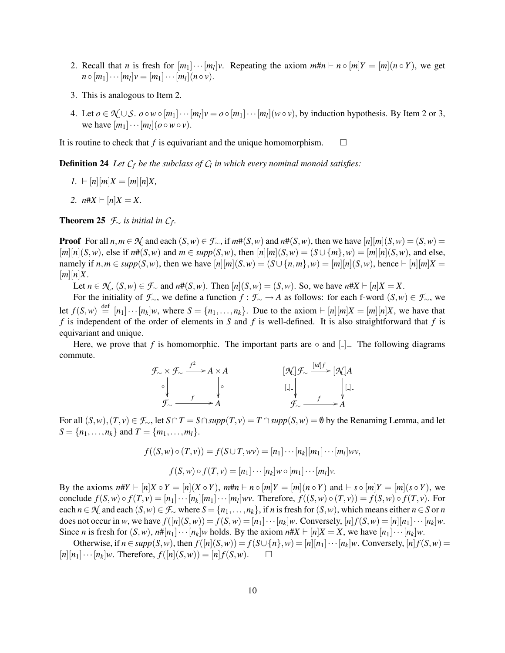- 2. Recall that *n* is fresh for  $[m_1] \cdots [m_l] \nu$ . Repeating the axiom  $m \# n \vdash n \circ [m] Y = [m] (n \circ Y)$ , we get  $n \circ [m_1] \cdots [m_l] \nu = [m_1] \cdots [m_l] (n \circ \nu).$
- 3. This is analogous to Item 2.
- 4. Let *o* ∈  $\mathcal{N} \cup \mathcal{S}$ . *o* ∘ *w* ∘ [*m*<sub>1</sub>] · · · [*m*<sub>*l*</sub>]*v* = *o* ∘ [*m*<sub>1</sub>] · · · [*m<sub>l</sub>*](*w* ∘ *v*), by induction hypothesis. By Item 2 or 3, we have  $[m_1] \cdots [m_l]$  ( $o \circ w \circ v$ ).

It is routine to check that *f* is equivariant and the unique homomorphism.  $\square$ 

Definition 24 *Let C<sup>f</sup> be the subclass of C<sup>l</sup> in which every nominal monoid satisfies:*

- *1.*  $\vdash$   $[n][m]X = [m][n]X$ ,
- *2.*  $n \# X \vdash [n] X = X$ .

**Theorem 25**  $\mathcal{F}_{\sim}$  *is initial in C<sub>f</sub>.* 

**Proof** For all  $n, m \in \mathcal{N}$  and each  $(S, w) \in \mathcal{F}_{\infty}$ , if  $m\#(S, w)$  and  $n\#(S, w)$ , then we have  $[n][m](S, w) = (S, w)$  $[n][n](S,w)$ , else if  $n#(S,w)$  and  $m \in supp(S,w)$ , then  $[n][m](S,w) = (S \cup \{m\}, w) = [m][n](S,w)$ , and else, namely if  $n,m \in supp(S,w)$ , then we have  $[n][m](S,w) = (S \cup \{n,m\},w) = [m][n](S,w)$ , hence  $\vdash [n][m]X =$  $[m][n]X$ .

Let *n* ∈  $\mathcal{N}_s$ ,  $(S, w)$  ∈  $\mathcal{F}_\sim$  and  $n#(S, w)$ . Then  $[n](S, w) = (S, w)$ . So, we have  $n#X \vdash [n]X = X$ .

For the initiality of  $\mathcal{F}_{\sim}$ , we define a function  $f : \mathcal{F}_{\sim} \to A$  as follows: for each f-word  $(S, w) \in \mathcal{F}_{\sim}$ , we let  $f(S, w) \stackrel{\text{def}}{=} [n_1] \cdots [n_k]w$ , where  $S = \{n_1, \ldots, n_k\}$ . Due to the axiom  $\vdash [n][m]X = [m][n]X$ , we have that *f* is independent of the order of elements in *S* and *f* is well-defined. It is also straightforward that *f* is equivariant and unique.

Here, we prove that *f* is homomorphic. The important parts are  $\circ$  and  $\lceil \cdot \rceil$ . The following diagrams commute.



For all  $(S, w), (T, v) \in \mathcal{F}_{\sim}$ , let *S*∩*T* = *S*∩*supp*(*T*, *v*) = *T* ∩*supp*(*S*, *w*) = **0** by the Renaming Lemma, and let  $S = \{n_1, \ldots, n_k\}$  and  $T = \{m_1, \ldots, m_l\}.$ 

$$
f((S, w) \circ (T, v)) = f(S \cup T, wv) = [n_1] \cdots [n_k][m_1] \cdots [m_l] wv,
$$
  

$$
f(S, w) \circ f(T, v) = [n_1] \cdots [n_k] w \circ [m_1] \cdots [m_l] v.
$$

By the axioms  $n\#Y \vdash [n]X \circ Y = [n](X \circ Y)$ ,  $m\#n \vdash n \circ [m]Y = [m](n \circ Y)$  and  $\vdash s \circ [m]Y = [m](s \circ Y)$ , we conclude  $f(S, w) \circ f(T, v) = [n_1] \cdots [n_k][m_1] \cdots [m_l] wv$ . Therefore,  $f((S, w) \circ (T, v)) = f(S, w) \circ f(T, v)$ . For each *n* ∈  $\mathcal{N}$  and each  $(S, w) \in \mathcal{F}$  where  $S = \{n_1, \ldots, n_k\}$ , if *n* is fresh for  $(S, w)$ , which means either *n* ∈ *S* or *n* does not occur in w, we have  $f([n](S,w)) = f(S,w) = [n_1] \cdots [n_k]w$ . Conversely,  $[n] f(S,w) = [n][n_1] \cdots [n_k]w$ . Since *n* is fresh for  $(S, w)$ ,  $n \# [n_1] \cdots [n_k]w$  holds. By the axiom  $n \# X \vdash [n]X = X$ , we have  $[n_1] \cdots [n_k]w$ .

Otherwise, if  $n \in supp(S, w)$ , then  $f([n](S, w)) = f(S \cup \{n\}, w) = [n][n_1] \cdots [n_k]w$ . Conversely,  $[n]f(S, w) =$  $[n][n_1]\cdots[n_k]$ *w*. Therefore,  $f([n](S,w)) = [n] f(S,w)$ .  $\Box$